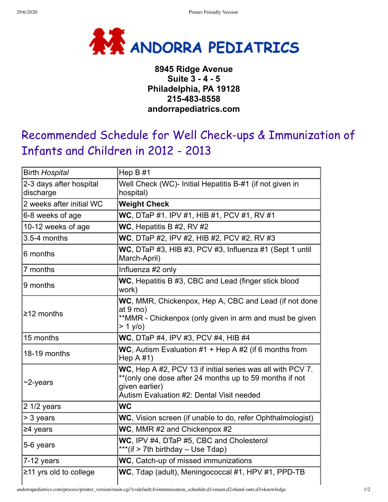

## **8945 Ridge Avenue Suite 3 - 4 - 5 Philadelphia, PA 19128 215-483-8558 andorrapediatrics.com**

## Recommended Schedule for Well Check-ups & Immunization of Infants and Children in 2012 - 2013

| <b>Birth Hospital</b>                | Hep $B#1$                                                                                                                                                                             |  |
|--------------------------------------|---------------------------------------------------------------------------------------------------------------------------------------------------------------------------------------|--|
| 2-3 days after hospital<br>discharge | Well Check (WC)- Initial Hepatitis B-#1 (if not given in<br>hospital)                                                                                                                 |  |
| 2 weeks after initial WC             | <b>Weight Check</b>                                                                                                                                                                   |  |
| 6-8 weeks of age                     | WC, DTaP #1. IPV #1, HIB #1, PCV #1, RV #1                                                                                                                                            |  |
| 10-12 weeks of age                   | WC, Hepatitis B #2, RV #2                                                                                                                                                             |  |
| 3.5-4 months                         | WC, DTaP #2, IPV #2, HIB #2, PCV #2, RV #3                                                                                                                                            |  |
| 6 months                             | WC, DTaP #3, HIB #3, PCV #3, Influenza #1 (Sept 1 until<br>March-April)                                                                                                               |  |
| 7 months                             | Influenza #2 only                                                                                                                                                                     |  |
| 9 months                             | WC, Hepatitis B #3, CBC and Lead (finger stick blood<br>work)                                                                                                                         |  |
| $\geq$ 12 months                     | WC, MMR, Chickenpox, Hep A, CBC and Lead (if not done<br>at $9 \text{ mo}$ )<br>**MMR - Chickenpox (only given in arm and must be given<br>> 1 y/o)                                   |  |
| 15 months                            | WC, DTaP #4, IPV #3, PCV #4, HIB #4                                                                                                                                                   |  |
| 18-19 months                         | WC, Autism Evaluation $#1 +$ Hep A $#2$ (if 6 months from<br>Hep $A \# 1$                                                                                                             |  |
| $\sim$ 2-years                       | WC, Hep A #2, PCV 13 if initial series was all with PCV 7.<br>** (only one dose after 24 months up to 59 months if not<br>given earlier)<br>Autism Evaluation #2: Dental Visit needed |  |
| 2 1/2 years                          | <b>WC</b>                                                                                                                                                                             |  |
| > 3 years                            | WC, Vision screen (if unable to do, refer Ophthalmologist)                                                                                                                            |  |
| $\geq$ 4 years                       | WC, MMR #2 and Chickenpox #2                                                                                                                                                          |  |
| 5-6 years                            | WC. IPV #4, DTaP #5, CBC and Cholesterol<br>***(if > 7th birthday - Use Tdap)                                                                                                         |  |
| 7-12 years                           | WC, Catch-up of missed immunizations                                                                                                                                                  |  |
| $\geq$ 11 yrs old to college         | WC, Tdap (adult), Meningococcal #1, HPV #1, PPD-TB                                                                                                                                    |  |